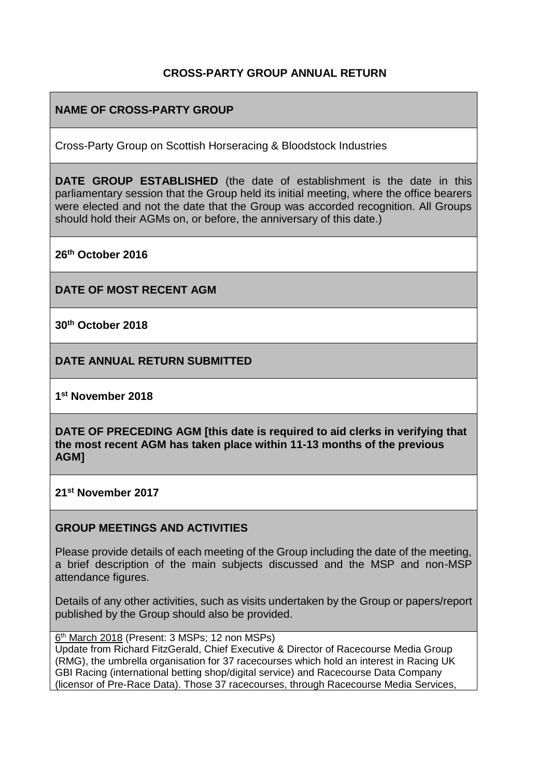## **CROSS-PARTY GROUP ANNUAL RETURN**

# **NAME OF CROSS-PARTY GROUP**

Cross-Party Group on Scottish Horseracing & Bloodstock Industries

**DATE GROUP ESTABLISHED** (the date of establishment is the date in this parliamentary session that the Group held its initial meeting, where the office bearers were elected and not the date that the Group was accorded recognition. All Groups should hold their AGMs on, or before, the anniversary of this date.)

**26th October 2016**

**DATE OF MOST RECENT AGM**

**30th October 2018**

**DATE ANNUAL RETURN SUBMITTED**

**1 st November 2018**

**DATE OF PRECEDING AGM [this date is required to aid clerks in verifying that the most recent AGM has taken place within 11-13 months of the previous AGM]**

**21st November 2017**

#### **GROUP MEETINGS AND ACTIVITIES**

Please provide details of each meeting of the Group including the date of the meeting, a brief description of the main subjects discussed and the MSP and non-MSP attendance figures.

Details of any other activities, such as visits undertaken by the Group or papers/report published by the Group should also be provided.

6<sup>th</sup> March 2018 (Present: 3 MSPs; 12 non MSPs)

Update from Richard FitzGerald, Chief Executive & Director of Racecourse Media Group (RMG), the umbrella organisation for 37 racecourses which hold an interest in Racing UK GBI Racing (international betting shop/digital service) and Racecourse Data Company (licensor of Pre-Race Data). Those 37 racecourses, through Racecourse Media Services,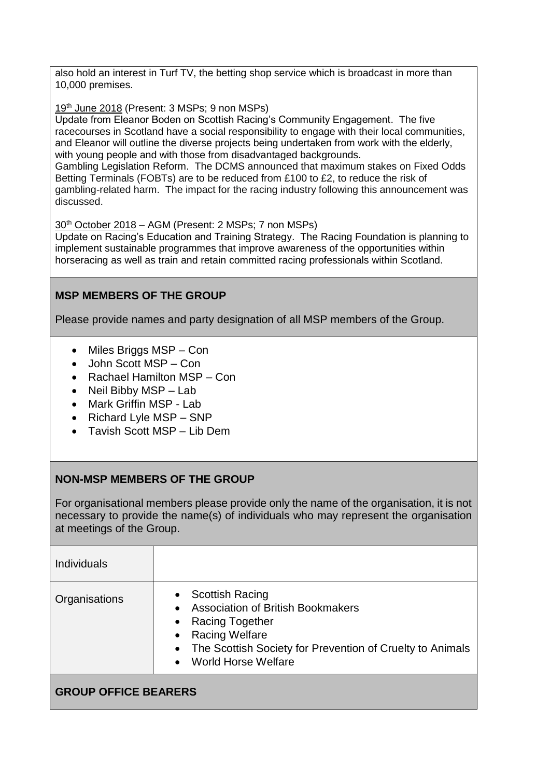also hold an interest in Turf TV, the betting shop service which is broadcast in more than 10,000 premises.

19<sup>th</sup> June 2018 (Present: 3 MSPs; 9 non MSPs)

Update from Eleanor Boden on Scottish Racing's Community Engagement. The five racecourses in Scotland have a social responsibility to engage with their local communities, and Eleanor will outline the diverse projects being undertaken from work with the elderly, with young people and with those from disadvantaged backgrounds.

Gambling Legislation Reform. The DCMS announced that maximum stakes on Fixed Odds Betting Terminals (FOBTs) are to be reduced from £100 to £2, to reduce the risk of gambling-related harm. The impact for the racing industry following this announcement was discussed.

30th October 2018 – AGM (Present: 2 MSPs; 7 non MSPs)

Update on Racing's Education and Training Strategy. The Racing Foundation is planning to implement sustainable programmes that improve awareness of the opportunities within horseracing as well as train and retain committed racing professionals within Scotland.

## **MSP MEMBERS OF THE GROUP**

Please provide names and party designation of all MSP members of the Group.

- Miles Briggs MSP Con
- John Scott MSP Con
- Rachael Hamilton MSP Con
- Neil Bibby MSP Lab
- Mark Griffin MSP Lab
- Richard Lyle MSP SNP
- Tavish Scott MSP Lib Dem

## **NON-MSP MEMBERS OF THE GROUP**

For organisational members please provide only the name of the organisation, it is not necessary to provide the name(s) of individuals who may represent the organisation at meetings of the Group.

| <b>Individuals</b>          |                                                                                                                                                                                                                                     |
|-----------------------------|-------------------------------------------------------------------------------------------------------------------------------------------------------------------------------------------------------------------------------------|
| Organisations               | <b>Scottish Racing</b><br><b>Association of British Bookmakers</b><br>Racing Together<br><b>Racing Welfare</b><br>$\bullet$<br>The Scottish Society for Prevention of Cruelty to Animals<br>$\bullet$<br><b>World Horse Welfare</b> |
| <b>GROUP OFFICE BEARERS</b> |                                                                                                                                                                                                                                     |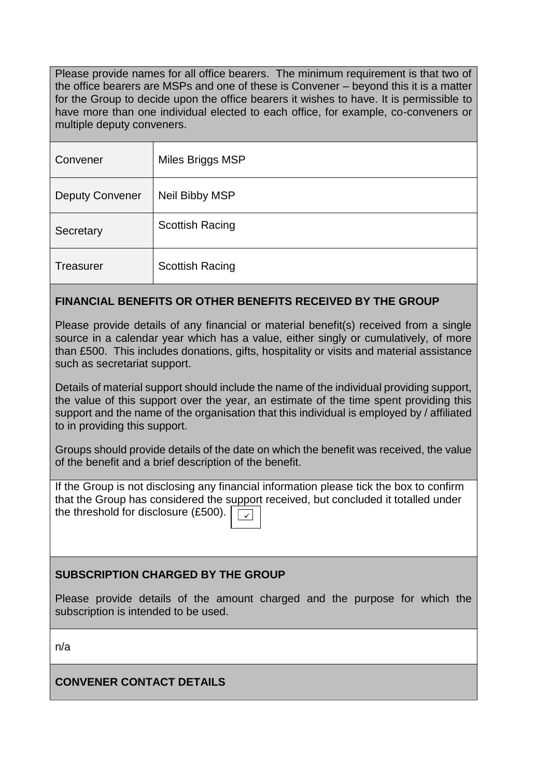Please provide names for all office bearers. The minimum requirement is that two of the office bearers are MSPs and one of these is Convener – beyond this it is a matter for the Group to decide upon the office bearers it wishes to have. It is permissible to have more than one individual elected to each office, for example, co-conveners or multiple deputy conveners.

| Convener               | Miles Briggs MSP       |
|------------------------|------------------------|
| <b>Deputy Convener</b> | Neil Bibby MSP         |
| Secretary              | <b>Scottish Racing</b> |
| <b>Treasurer</b>       | <b>Scottish Racing</b> |

## **FINANCIAL BENEFITS OR OTHER BENEFITS RECEIVED BY THE GROUP**

Please provide details of any financial or material benefit(s) received from a single source in a calendar year which has a value, either singly or cumulatively, of more than £500. This includes donations, gifts, hospitality or visits and material assistance such as secretariat support.

Details of material support should include the name of the individual providing support, the value of this support over the year, an estimate of the time spent providing this support and the name of the organisation that this individual is employed by / affiliated to in providing this support.

Groups should provide details of the date on which the benefit was received, the value of the benefit and a brief description of the benefit.

If the Group is not disclosing any financial information please tick the box to confirm that the Group has considered the support received, but concluded it totalled under the threshold for disclosure (£500). ✓

## **SUBSCRIPTION CHARGED BY THE GROUP**

Please provide details of the amount charged and the purpose for which the subscription is intended to be used.

n/a

**CONVENER CONTACT DETAILS**